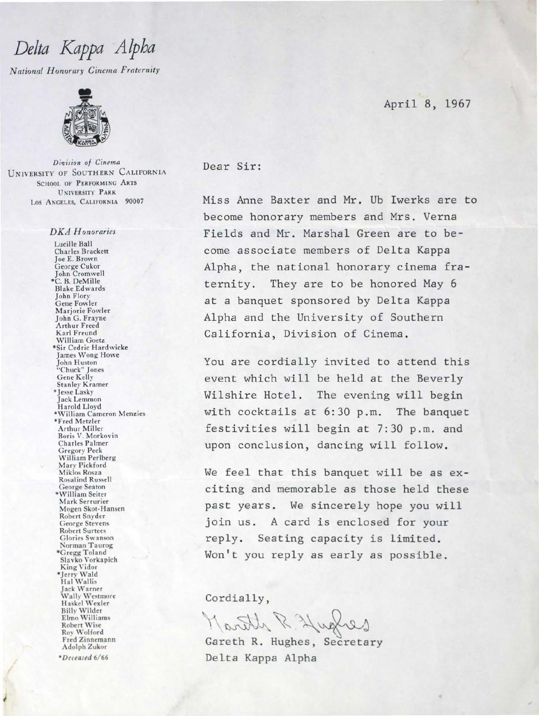## Delta Kappa Alpha

National Honorary Cinema Fraternity



Division of Cinema UNIVERSITY OF SOUTHERN CALIFORNIA **SCHOOL OF PERFORMING ARTS UNIVERSITY PARK** LOS ANGELES, CALIFORNIA 90007

## **DKA** Honoraries

Lucille Ball Charles Brackett Joe E. Brown George Cukor John Cromwell<br>\*C. B. DeMille **Blake Edwards** John Flory Gene Fowler Marjorie Fowler John G. Frayne Arthur Freed Karl Freund William Goetz \*Sir Cedric Hardwicke James Wong Howe John Huston<br>"Chuck" Jones<br>Gene Kelly **Stanley Kramer** \*Jesse Lasky Jack Lemmon Harold Lloyd \*William Cameron Menzies \*Fred Metzler Arthur Miller Boris V. Morkovin **Charles Palmer Gregory Peck** William Perlberg Mary Pickford Miklos Rosza **Rosalind Russell** George Seaton \*William Seiter Mark Serrurier Mogen Skot-Hansen Robert Snyder George Stevens **Robert Surtees** Glories Swanson Norman Taurog \*Gregg Toland Slavko Vorkapich King Vidor<br>\*Jerry Wald<br>Hal Wallis Jack Warner Wally Westmore Haskel Wexler **Billy Wilder** Elmo Williams **Robert Wise** Roy Wolford Fred Zinnemann Adolph Zukor

\*Deceased 6/66

April 8, 1967

## Dear Sir:

Miss Anne Baxter and Mr. Ub Iwerks are to become honorary members and Mrs. Verna Fields and Mr. Marshal Green are to become associate members of Delta Kappa Alpha, the national honorary cinema fraternity. They are to be honored May 6 at a banquet sponsored by Delta Kappa Alpha and the University of Southern California, Division of Cinema.

You are cordially invited to attend this event which will be held at the Beverly Wilshire Hotel. The evening will begin with cocktails at 6:30 p.m. The banquet festivities will begin at 7:30 p.m. and upon conclusion, dancing will follow.

We feel that this banquet will be as exciting and memorable as those held these past years. We sincerely hope you will join us. A card is enclosed for your reply. Seating capacity is limited. Won't you reply as early as possible.

Cordially,

Gareth R. Hughes, Secretary Delta Kappa Alpha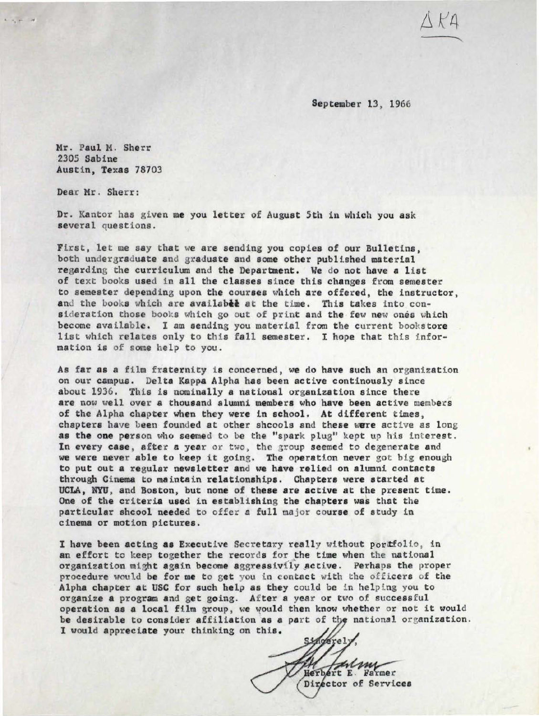September 13, 1966

Mr. Paul M. Sherr 2305 Sabine Austin, Texas 78703

Dear Mr. Sherr:

..\_ ·. ·- ...

Dr. Kantor has given me you letter of August 5th in which you ask several questions.

First, let me say that we are sending you copies of our Bulletins, both undergraduate and graduate and some other published material regarding the curriculum and the Deparbnent. We do not have a list of text books used in all the classes since this changes from semester to semester depending upon the courses which are offered, the instructor, and the books which are availabee at the time. This takes into consideration those books which go out of print and the few new ones which become available. I am sending you material from the current bookstore list which relates only to this fall semester. I hope that this information is of some help to you.

As far as a film fraternity is concerned, we do have such an organization on our campus. Delta Kappa Alpha has been active continously since about 1936. This is nominally a national organization since there are now well over a thousand alumni members who have been active members of the Alpha chapter when they were in school. At different times, chapters have been founded at other shcools and these were active as long as the one person who seemed to be the "spark plug" kept up his interest. In every case, after a year or two, the group seemed to degenerate and we were never able to keep it going. The operation never got big enough to put out a regular newsletter and we have relied on alumni contacts through Cinema to maintain relationships. Chapters were started at UCLA, NYU, and Boston, but none of these are active at the present time. One of the criteria used in establishing the chapters was that the particular shcool needed to offer a full major course of study in cinema or motion pictures.

I have been acting as Executive Secretary really without portfolio, in an effort to keep together the records for the time when the national organization might again become aggressivily active. Perhaps the proper procedure would be for me to get you in contact with the officers of the Alpha chapter at USC for such help as they could be in helping you to organize a program and get going. After a year or two of successful operation as a local film group, we would then know whether or not it would be desirable to consider affiliation as a part of the national organization. I would appreciate your thinking on this.

Singerely Herbert E. Farmer Director of Services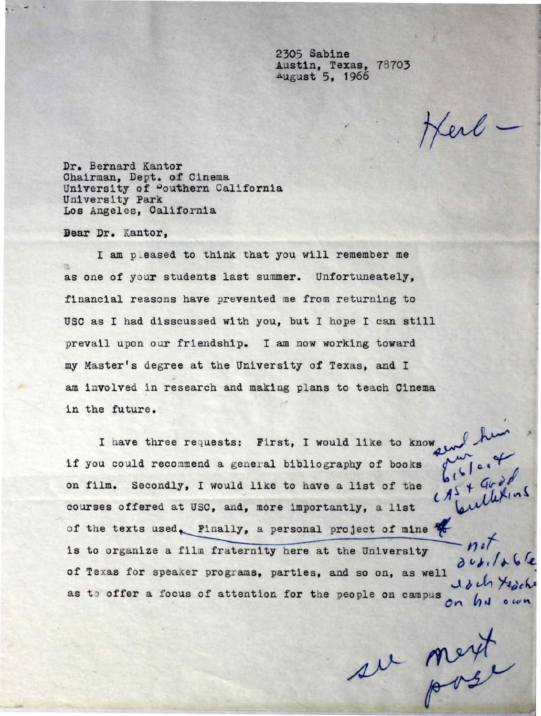2305 Sabine Austin, Texas, 78703 August 5, 1966

ferb-

Dr. Bernard Kantor Chairman, Dept. of Cinema University of Pouthern California University Park Los Angeles, California

Dear Dr. Kantor,

I am pleased to think that you will remember me as one of your students last summer. Unfortuneately, financial reasons have prevented me from returning to USC as I had disscussed with you, but I hope I can still prevail upon our friendship. I am now working toward my Master's degree at the University of Texas, and I am involved in research and making plans to teach Cinema in the future.

I have three requests: First, I would like to know and him Secondly, I would like to have a list of the  $\begin{array}{c} \n \begin{array}{c} \n \downarrow \\
\downarrow \\
\downarrow\n \end{array}$ courses offered at USC, and, more importantly, a list if you could recommend a general bibliography of books on film. Secondly, I would like to have a list of the of the texts used. Finally, a personal project of mine  $\mathcal C$ is to organize a film fraternity here at the University  $\overrightarrow{n!}$ <br>of Texas for speaker programs, parties, and so on, as well as to offer a focus of attention for the people on campus on hy own

su mext